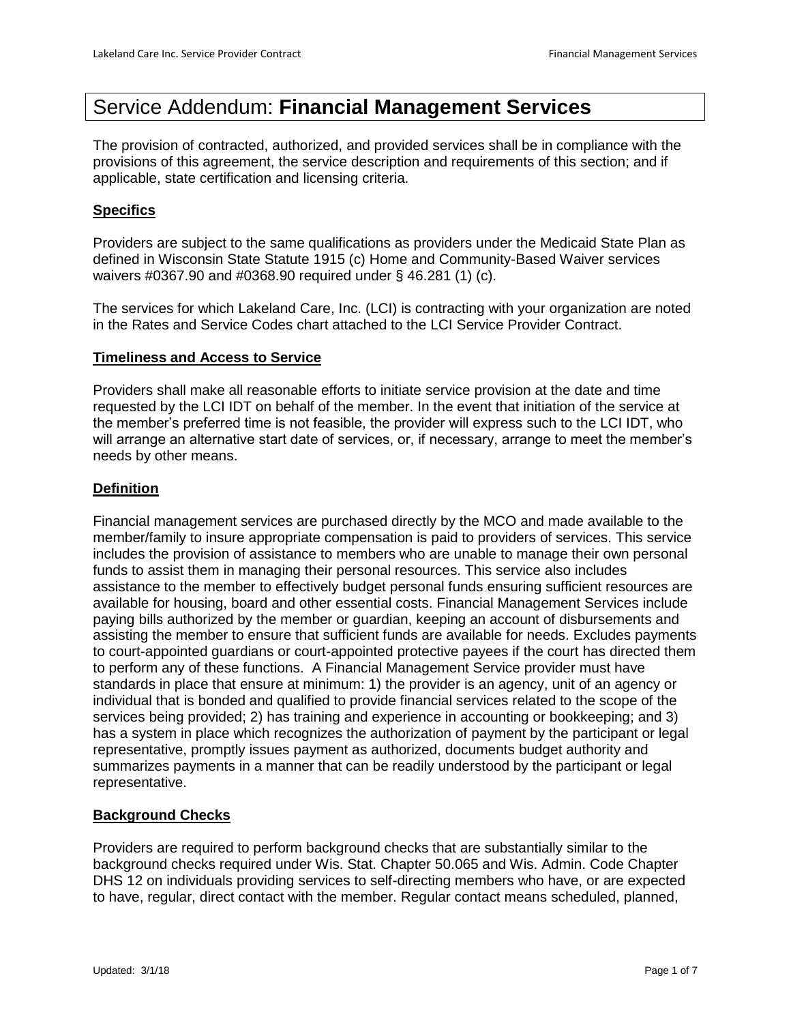# Service Addendum: **Financial Management Services**

The provision of contracted, authorized, and provided services shall be in compliance with the provisions of this agreement, the service description and requirements of this section; and if applicable, state certification and licensing criteria.

# **Specifics**

Providers are subject to the same qualifications as providers under the Medicaid State Plan as defined in Wisconsin State Statute 1915 (c) Home and Community-Based Waiver services waivers #0367.90 and #0368.90 required under § 46.281 (1) (c).

The services for which Lakeland Care, Inc. (LCI) is contracting with your organization are noted in the Rates and Service Codes chart attached to the LCI Service Provider Contract.

## **Timeliness and Access to Service**

Providers shall make all reasonable efforts to initiate service provision at the date and time requested by the LCI IDT on behalf of the member. In the event that initiation of the service at the member's preferred time is not feasible, the provider will express such to the LCI IDT, who will arrange an alternative start date of services, or, if necessary, arrange to meet the member's needs by other means.

## **Definition**

Financial management services are purchased directly by the MCO and made available to the member/family to insure appropriate compensation is paid to providers of services. This service includes the provision of assistance to members who are unable to manage their own personal funds to assist them in managing their personal resources. This service also includes assistance to the member to effectively budget personal funds ensuring sufficient resources are available for housing, board and other essential costs. Financial Management Services include paying bills authorized by the member or guardian, keeping an account of disbursements and assisting the member to ensure that sufficient funds are available for needs. Excludes payments to court-appointed guardians or court-appointed protective payees if the court has directed them to perform any of these functions. A Financial Management Service provider must have standards in place that ensure at minimum: 1) the provider is an agency, unit of an agency or individual that is bonded and qualified to provide financial services related to the scope of the services being provided; 2) has training and experience in accounting or bookkeeping; and 3) has a system in place which recognizes the authorization of payment by the participant or legal representative, promptly issues payment as authorized, documents budget authority and summarizes payments in a manner that can be readily understood by the participant or legal representative.

## **Background Checks**

Providers are required to perform background checks that are substantially similar to the background checks required under Wis. Stat. Chapter 50.065 and Wis. Admin. Code Chapter DHS 12 on individuals providing services to self-directing members who have, or are expected to have, regular, direct contact with the member. Regular contact means scheduled, planned,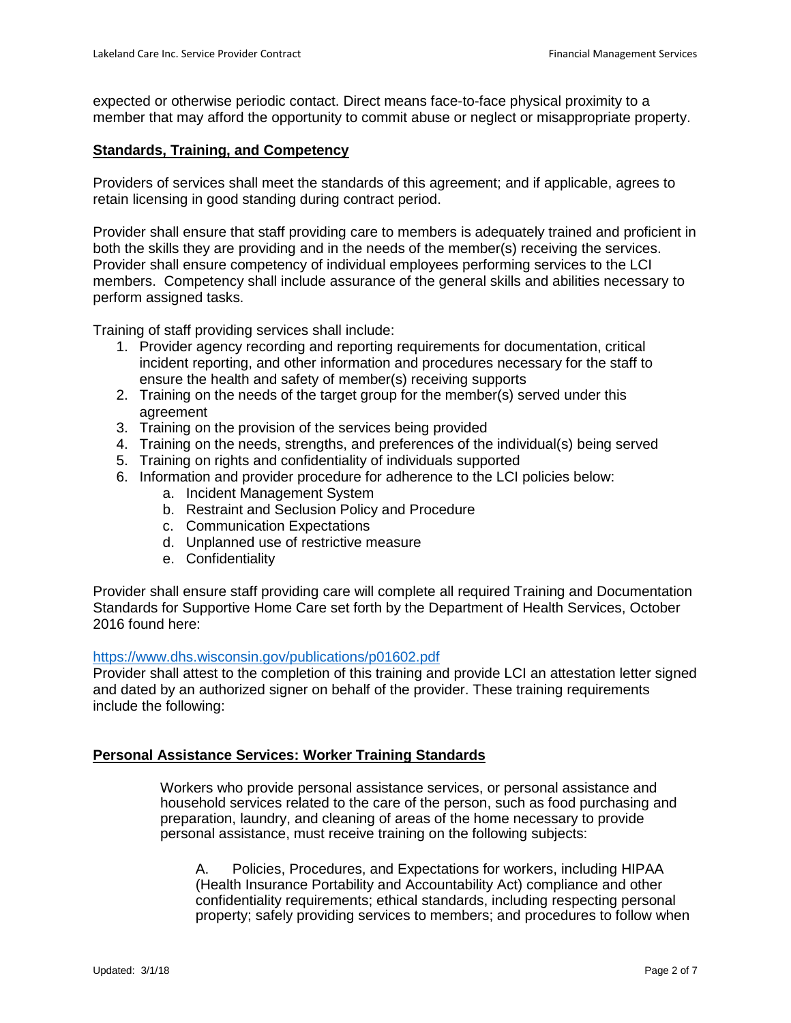expected or otherwise periodic contact. Direct means face-to-face physical proximity to a member that may afford the opportunity to commit abuse or neglect or misappropriate property.

#### **Standards, Training, and Competency**

Providers of services shall meet the standards of this agreement; and if applicable, agrees to retain licensing in good standing during contract period.

Provider shall ensure that staff providing care to members is adequately trained and proficient in both the skills they are providing and in the needs of the member(s) receiving the services. Provider shall ensure competency of individual employees performing services to the LCI members. Competency shall include assurance of the general skills and abilities necessary to perform assigned tasks.

Training of staff providing services shall include:

- 1. Provider agency recording and reporting requirements for documentation, critical incident reporting, and other information and procedures necessary for the staff to ensure the health and safety of member(s) receiving supports
- 2. Training on the needs of the target group for the member(s) served under this agreement
- 3. Training on the provision of the services being provided
- 4. Training on the needs, strengths, and preferences of the individual(s) being served
- 5. Training on rights and confidentiality of individuals supported
- 6. Information and provider procedure for adherence to the LCI policies below:
	- a. Incident Management System
	- b. Restraint and Seclusion Policy and Procedure
	- c. Communication Expectations
	- d. Unplanned use of restrictive measure
	- e. Confidentiality

Provider shall ensure staff providing care will complete all required Training and Documentation Standards for Supportive Home Care set forth by the Department of Health Services, October 2016 found here:

#### <https://www.dhs.wisconsin.gov/publications/p01602.pdf>

Provider shall attest to the completion of this training and provide LCI an attestation letter signed and dated by an authorized signer on behalf of the provider. These training requirements include the following:

## **Personal Assistance Services: Worker Training Standards**

Workers who provide personal assistance services, or personal assistance and household services related to the care of the person, such as food purchasing and preparation, laundry, and cleaning of areas of the home necessary to provide personal assistance, must receive training on the following subjects:

A. Policies, Procedures, and Expectations for workers, including HIPAA (Health Insurance Portability and Accountability Act) compliance and other confidentiality requirements; ethical standards, including respecting personal property; safely providing services to members; and procedures to follow when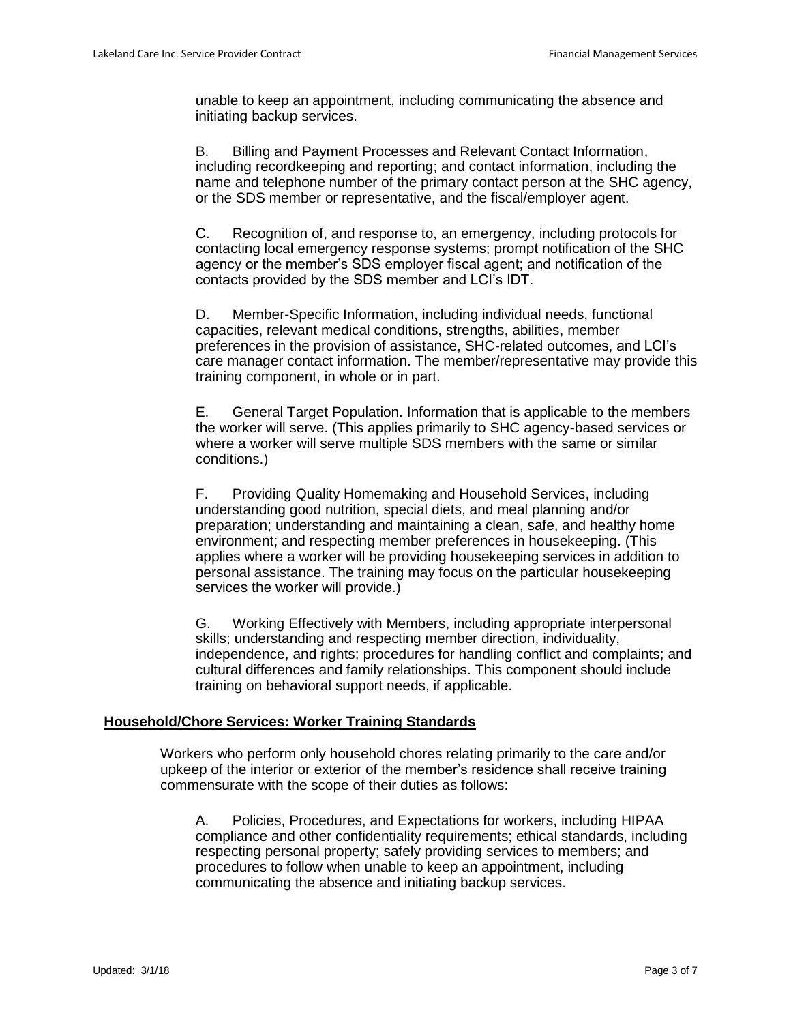unable to keep an appointment, including communicating the absence and initiating backup services.

B. Billing and Payment Processes and Relevant Contact Information, including recordkeeping and reporting; and contact information, including the name and telephone number of the primary contact person at the SHC agency, or the SDS member or representative, and the fiscal/employer agent.

C. Recognition of, and response to, an emergency, including protocols for contacting local emergency response systems; prompt notification of the SHC agency or the member's SDS employer fiscal agent; and notification of the contacts provided by the SDS member and LCI's IDT.

D. Member-Specific Information, including individual needs, functional capacities, relevant medical conditions, strengths, abilities, member preferences in the provision of assistance, SHC-related outcomes, and LCI's care manager contact information. The member/representative may provide this training component, in whole or in part.

E. General Target Population. Information that is applicable to the members the worker will serve. (This applies primarily to SHC agency-based services or where a worker will serve multiple SDS members with the same or similar conditions.)

F. Providing Quality Homemaking and Household Services, including understanding good nutrition, special diets, and meal planning and/or preparation; understanding and maintaining a clean, safe, and healthy home environment; and respecting member preferences in housekeeping. (This applies where a worker will be providing housekeeping services in addition to personal assistance. The training may focus on the particular housekeeping services the worker will provide.)

G. Working Effectively with Members, including appropriate interpersonal skills; understanding and respecting member direction, individuality, independence, and rights; procedures for handling conflict and complaints; and cultural differences and family relationships. This component should include training on behavioral support needs, if applicable.

# **Household/Chore Services: Worker Training Standards**

Workers who perform only household chores relating primarily to the care and/or upkeep of the interior or exterior of the member's residence shall receive training commensurate with the scope of their duties as follows:

A. Policies, Procedures, and Expectations for workers, including HIPAA compliance and other confidentiality requirements; ethical standards, including respecting personal property; safely providing services to members; and procedures to follow when unable to keep an appointment, including communicating the absence and initiating backup services.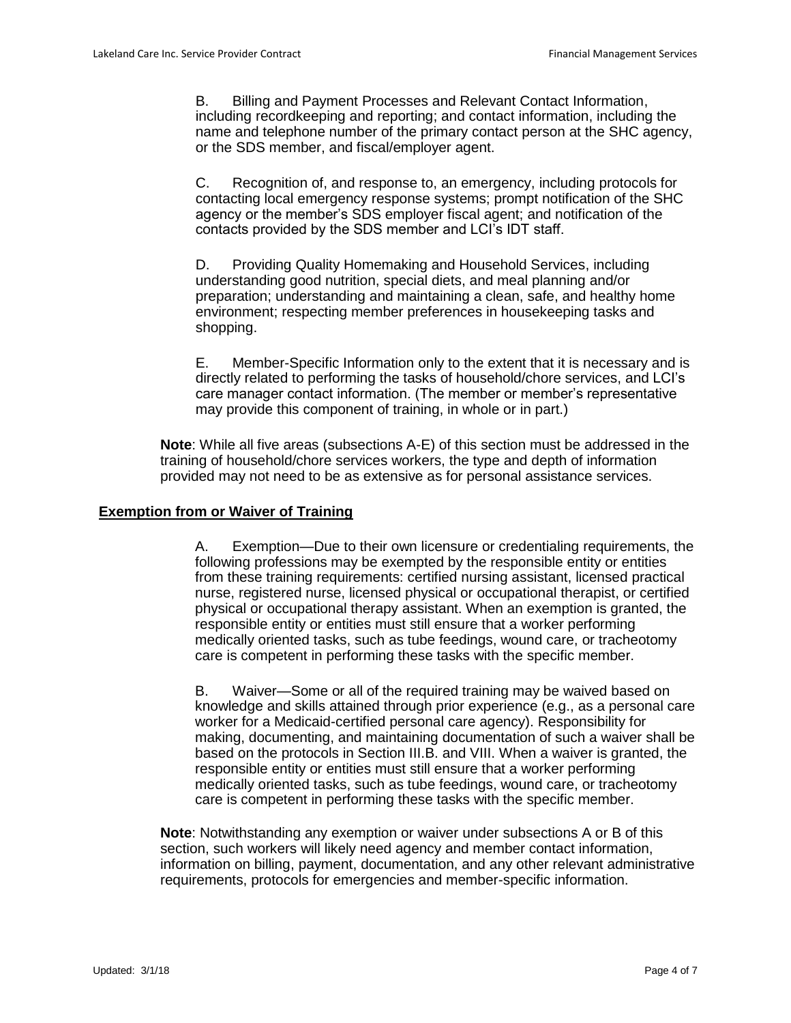B. Billing and Payment Processes and Relevant Contact Information, including recordkeeping and reporting; and contact information, including the name and telephone number of the primary contact person at the SHC agency, or the SDS member, and fiscal/employer agent.

C. Recognition of, and response to, an emergency, including protocols for contacting local emergency response systems; prompt notification of the SHC agency or the member's SDS employer fiscal agent; and notification of the contacts provided by the SDS member and LCI's IDT staff.

D. Providing Quality Homemaking and Household Services, including understanding good nutrition, special diets, and meal planning and/or preparation; understanding and maintaining a clean, safe, and healthy home environment; respecting member preferences in housekeeping tasks and shopping.

E. Member-Specific Information only to the extent that it is necessary and is directly related to performing the tasks of household/chore services, and LCI's care manager contact information. (The member or member's representative may provide this component of training, in whole or in part.)

**Note**: While all five areas (subsections A-E) of this section must be addressed in the training of household/chore services workers, the type and depth of information provided may not need to be as extensive as for personal assistance services.

## **Exemption from or Waiver of Training**

A. Exemption—Due to their own licensure or credentialing requirements, the following professions may be exempted by the responsible entity or entities from these training requirements: certified nursing assistant, licensed practical nurse, registered nurse, licensed physical or occupational therapist, or certified physical or occupational therapy assistant. When an exemption is granted, the responsible entity or entities must still ensure that a worker performing medically oriented tasks, such as tube feedings, wound care, or tracheotomy care is competent in performing these tasks with the specific member.

B. Waiver—Some or all of the required training may be waived based on knowledge and skills attained through prior experience (e.g., as a personal care worker for a Medicaid-certified personal care agency). Responsibility for making, documenting, and maintaining documentation of such a waiver shall be based on the protocols in Section III.B. and VIII. When a waiver is granted, the responsible entity or entities must still ensure that a worker performing medically oriented tasks, such as tube feedings, wound care, or tracheotomy care is competent in performing these tasks with the specific member.

**Note**: Notwithstanding any exemption or waiver under subsections A or B of this section, such workers will likely need agency and member contact information, information on billing, payment, documentation, and any other relevant administrative requirements, protocols for emergencies and member-specific information.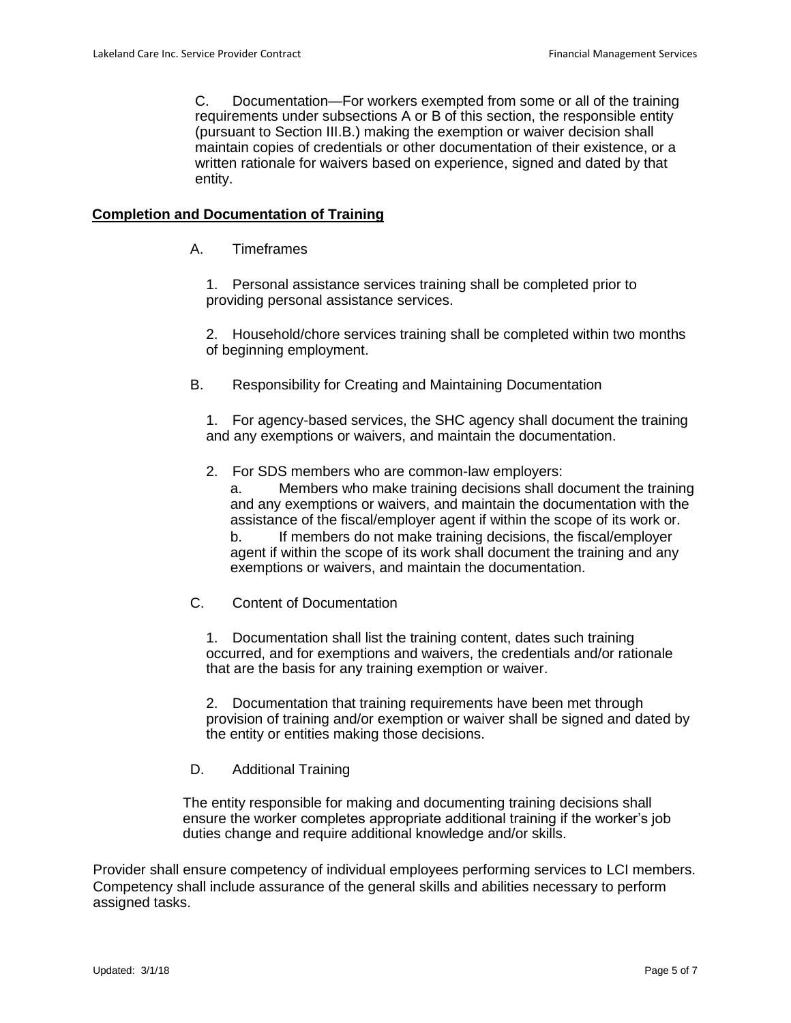C. Documentation—For workers exempted from some or all of the training requirements under subsections A or B of this section, the responsible entity (pursuant to Section III.B.) making the exemption or waiver decision shall maintain copies of credentials or other documentation of their existence, or a written rationale for waivers based on experience, signed and dated by that entity.

## **Completion and Documentation of Training**

A. Timeframes

1. Personal assistance services training shall be completed prior to providing personal assistance services.

2. Household/chore services training shall be completed within two months of beginning employment.

B. Responsibility for Creating and Maintaining Documentation

1. For agency-based services, the SHC agency shall document the training and any exemptions or waivers, and maintain the documentation.

2. For SDS members who are common-law employers:

Members who make training decisions shall document the training and any exemptions or waivers, and maintain the documentation with the assistance of the fiscal/employer agent if within the scope of its work or. b. If members do not make training decisions, the fiscal/employer agent if within the scope of its work shall document the training and any exemptions or waivers, and maintain the documentation.

C. Content of Documentation

1. Documentation shall list the training content, dates such training occurred, and for exemptions and waivers, the credentials and/or rationale that are the basis for any training exemption or waiver.

2. Documentation that training requirements have been met through provision of training and/or exemption or waiver shall be signed and dated by the entity or entities making those decisions.

## D. Additional Training

The entity responsible for making and documenting training decisions shall ensure the worker completes appropriate additional training if the worker's job duties change and require additional knowledge and/or skills.

Provider shall ensure competency of individual employees performing services to LCI members. Competency shall include assurance of the general skills and abilities necessary to perform assigned tasks.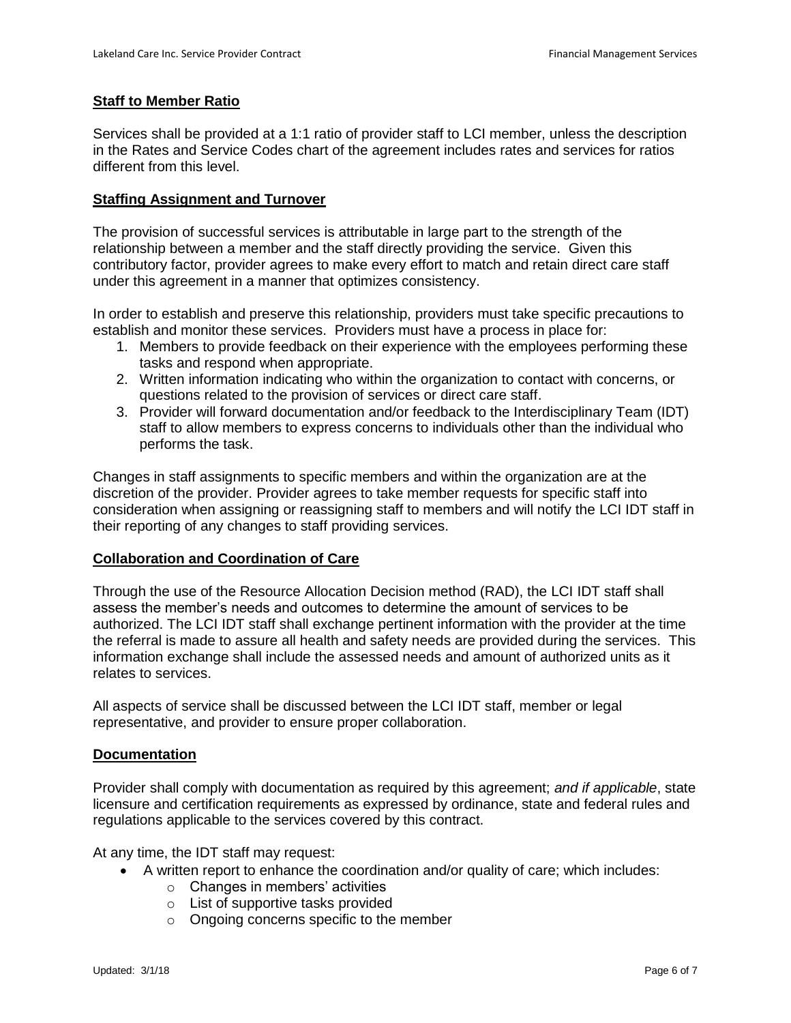## **Staff to Member Ratio**

Services shall be provided at a 1:1 ratio of provider staff to LCI member, unless the description in the Rates and Service Codes chart of the agreement includes rates and services for ratios different from this level.

#### **Staffing Assignment and Turnover**

The provision of successful services is attributable in large part to the strength of the relationship between a member and the staff directly providing the service. Given this contributory factor, provider agrees to make every effort to match and retain direct care staff under this agreement in a manner that optimizes consistency.

In order to establish and preserve this relationship, providers must take specific precautions to establish and monitor these services. Providers must have a process in place for:

- 1. Members to provide feedback on their experience with the employees performing these tasks and respond when appropriate.
- 2. Written information indicating who within the organization to contact with concerns, or questions related to the provision of services or direct care staff.
- 3. Provider will forward documentation and/or feedback to the Interdisciplinary Team (IDT) staff to allow members to express concerns to individuals other than the individual who performs the task.

Changes in staff assignments to specific members and within the organization are at the discretion of the provider. Provider agrees to take member requests for specific staff into consideration when assigning or reassigning staff to members and will notify the LCI IDT staff in their reporting of any changes to staff providing services.

## **Collaboration and Coordination of Care**

Through the use of the Resource Allocation Decision method (RAD), the LCI IDT staff shall assess the member's needs and outcomes to determine the amount of services to be authorized. The LCI IDT staff shall exchange pertinent information with the provider at the time the referral is made to assure all health and safety needs are provided during the services. This information exchange shall include the assessed needs and amount of authorized units as it relates to services.

All aspects of service shall be discussed between the LCI IDT staff, member or legal representative, and provider to ensure proper collaboration.

#### **Documentation**

Provider shall comply with documentation as required by this agreement; *and if applicable*, state licensure and certification requirements as expressed by ordinance, state and federal rules and regulations applicable to the services covered by this contract.

At any time, the IDT staff may request:

- A written report to enhance the coordination and/or quality of care; which includes:
	- $\circ$  Changes in members' activities
	- o List of supportive tasks provided
	- o Ongoing concerns specific to the member